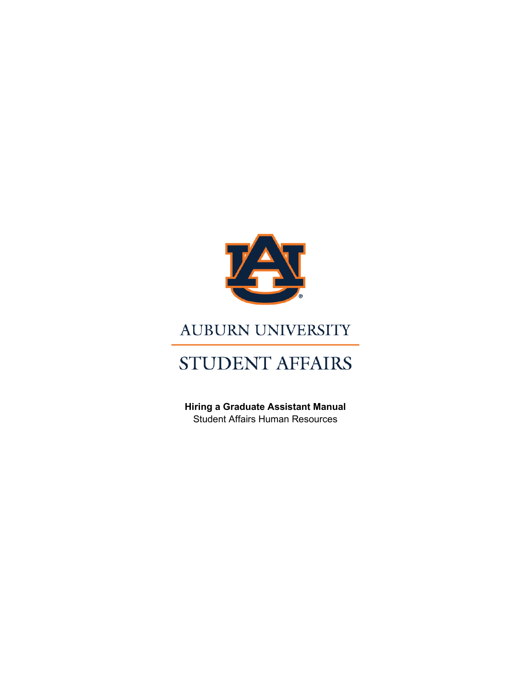

# AUBURN UNIVERSITY

# STUDENT AFFAIRS

**Hiring a Graduate Assistant Manual** Student Affairs Human Resources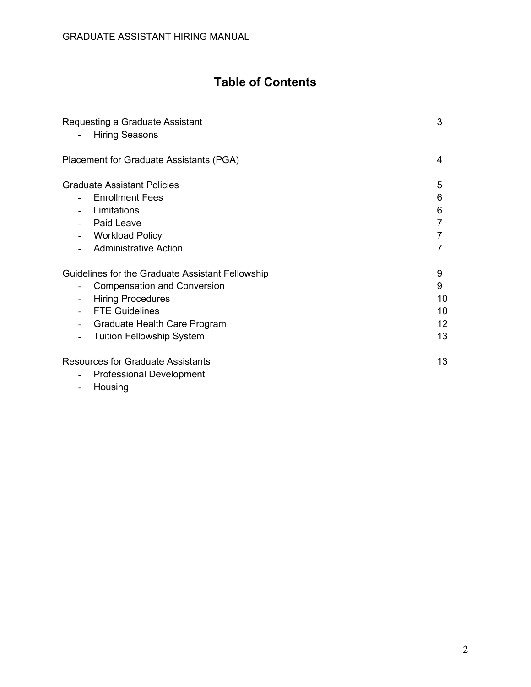## **Table of Contents**

| Requesting a Graduate Assistant                  |    |  |  |
|--------------------------------------------------|----|--|--|
| <b>Hiring Seasons</b>                            |    |  |  |
| Placement for Graduate Assistants (PGA)          | 4  |  |  |
| <b>Graduate Assistant Policies</b>               | 5  |  |  |
| <b>Enrollment Fees</b>                           | 6  |  |  |
| Limitations                                      | 6  |  |  |
| Paid Leave                                       |    |  |  |
| - Workload Policy                                | 7  |  |  |
| <b>Administrative Action</b>                     |    |  |  |
| Guidelines for the Graduate Assistant Fellowship | 9  |  |  |
| <b>Compensation and Conversion</b>               | 9  |  |  |
| <b>Hiring Procedures</b>                         | 10 |  |  |
| <b>FTE Guidelines</b>                            | 10 |  |  |
| Graduate Health Care Program                     | 12 |  |  |
| <b>Tuition Fellowship System</b>                 | 13 |  |  |
| <b>Resources for Graduate Assistants</b>         | 13 |  |  |
| <b>Professional Development</b>                  |    |  |  |
|                                                  |    |  |  |

- Housing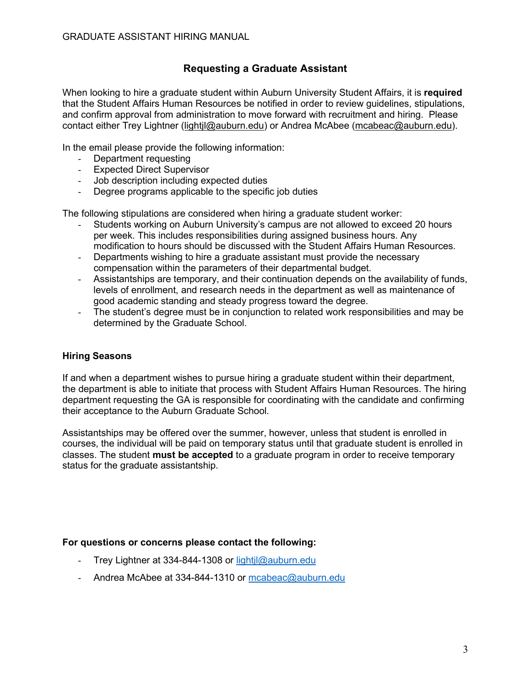#### **Requesting a Graduate Assistant**

When looking to hire a graduate student within Auburn University Student Affairs, it is **required** that the Student Affairs Human Resources be notified in order to review guidelines, stipulations, and confirm approval from administration to move forward with recruitment and hiring. Please contact either Trey Lightner [\(lightjl@auburn.edu\)](mailto:lightjl@auburn.edu) or Andrea McAbee [\(mcabeac@auburn.edu\)](mailto:mcabeac@auburn.edu).

In the email please provide the following information:

- Department requesting
- Expected Direct Supervisor
- Job description including expected duties
- Degree programs applicable to the specific job duties

The following stipulations are considered when hiring a graduate student worker:

- Students working on Auburn University's campus are not allowed to exceed 20 hours per week. This includes responsibilities during assigned business hours. Any modification to hours should be discussed with the Student Affairs Human Resources.
- Departments wishing to hire a graduate assistant must provide the necessary compensation within the parameters of their departmental budget.
- Assistantships are temporary, and their continuation depends on the availability of funds, levels of enrollment, and research needs in the department as well as maintenance of good academic standing and steady progress toward the degree.
- The student's degree must be in conjunction to related work responsibilities and may be determined by the Graduate School.

#### **Hiring Seasons**

If and when a department wishes to pursue hiring a graduate student within their department, the department is able to initiate that process with Student Affairs Human Resources. The hiring department requesting the GA is responsible for coordinating with the candidate and confirming their acceptance to the Auburn Graduate School.

Assistantships may be offered over the summer, however, unless that student is enrolled in courses, the individual will be paid on temporary status until that graduate student is enrolled in classes. The student **must be accepted** to a graduate program in order to receive temporary status for the graduate assistantship.

#### **For questions or concerns please contact the following:**

- Trey Lightner at 334-844-1308 or [lightjl@auburn.edu](mailto:lightjl@auburn.edu)
- Andrea McAbee at 334-844-1310 or [mcabeac@auburn.edu](mailto:mcabeac@auburn.edu)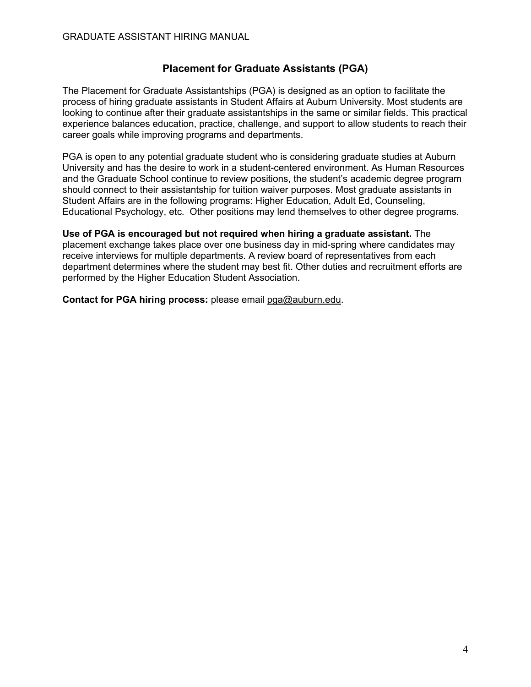#### **Placement for Graduate Assistants (PGA)**

The Placement for Graduate Assistantships (PGA) is designed as an option to facilitate the process of hiring graduate assistants in Student Affairs at Auburn University. Most students are looking to continue after their graduate assistantships in the same or similar fields. This practical experience balances education, practice, challenge, and support to allow students to reach their career goals while improving programs and departments.

PGA is open to any potential graduate student who is considering graduate studies at Auburn University and has the desire to work in a student-centered environment. As Human Resources and the Graduate School continue to review positions, the student's academic degree program should connect to their assistantship for tuition waiver purposes. Most graduate assistants in Student Affairs are in the following programs: Higher Education, Adult Ed, Counseling, Educational Psychology, etc. Other positions may lend themselves to other degree programs.

**Use of PGA is encouraged but not required when hiring a graduate assistant.** The placement exchange takes place over one business day in mid-spring where candidates may receive interviews for multiple departments. A review board of representatives from each department determines where the student may best fit. Other duties and recruitment efforts are performed by the Higher Education Student Association.

**Contact for PGA hiring process:** please email [pga@auburn.edu.](mailto:pga@auburn.edu)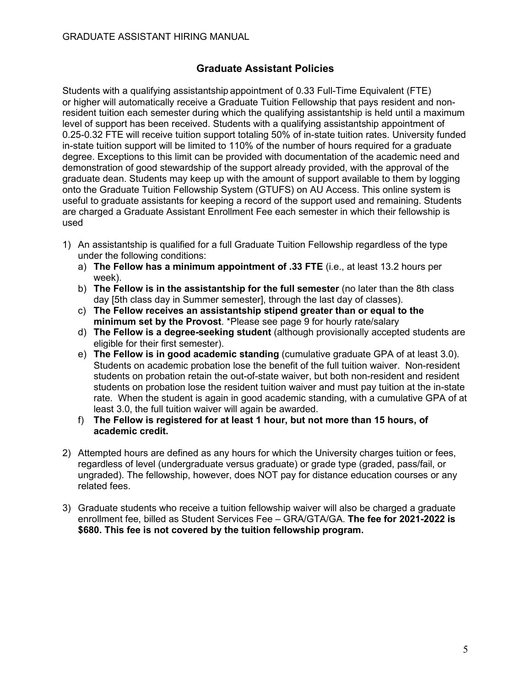#### **Graduate Assistant Policies**

Students with a qualifying assistantship appointment of 0.33 Full-Time Equivalent (FTE) or higher will automatically receive a Graduate Tuition Fellowship that pays resident and nonresident tuition each semester during which the qualifying assistantship is held until a maximum level of support has been received. Students with a qualifying assistantship appointment of 0.25-0.32 FTE will receive tuition support totaling 50% of in-state tuition rates. University funded in-state tuition support will be limited to 110% of the number of hours required for a graduate degree. Exceptions to this limit can be provided with documentation of the academic need and demonstration of good stewardship of the support already provided, with the approval of the graduate dean. Students may keep up with the amount of support available to them by logging onto the Graduate Tuition Fellowship System (GTUFS) on AU Access. This online system is useful to graduate assistants for keeping a record of the support used and remaining. Students are charged a Graduate Assistant Enrollment Fee each semester in which their fellowship is used

- 1) An assistantship is qualified for a full Graduate Tuition Fellowship regardless of the type under the following conditions:
	- a) **The Fellow has a minimum appointment of .33 FTE** (i.e., at least 13.2 hours per week).
	- b) **The Fellow is in the assistantship for the full semester** (no later than the 8th class day [5th class day in Summer semester], through the last day of classes).
	- c) **The Fellow receives an assistantship stipend greater than or equal to the minimum set by the Provost**. \*Please see page 9 for hourly rate/salary
	- d) **The Fellow is a degree-seeking student** (although provisionally accepted students are eligible for their first semester).
	- e) **The Fellow is in good academic standing** (cumulative graduate GPA of at least 3.0). Students on academic probation lose the benefit of the full tuition waiver. Non-resident students on probation retain the out-of-state waiver, but both non-resident and resident students on probation lose the resident tuition waiver and must pay tuition at the in-state rate. When the student is again in good academic standing, with a cumulative GPA of at least 3.0, the full tuition waiver will again be awarded.
	- f) **The Fellow is registered for at least 1 hour, but not more than 15 hours, of academic credit.**
- 2) Attempted hours are defined as any hours for which the University charges tuition or fees, regardless of level (undergraduate versus graduate) or grade type (graded, pass/fail, or ungraded). The fellowship, however, does NOT pay for distance education courses or any related fees.
- 3) Graduate students who receive a tuition fellowship waiver will also be charged a graduate enrollment fee, billed as Student Services Fee – GRA/GTA/GA. **The fee for 2021-2022 is \$680. This fee is not covered by the tuition fellowship program.**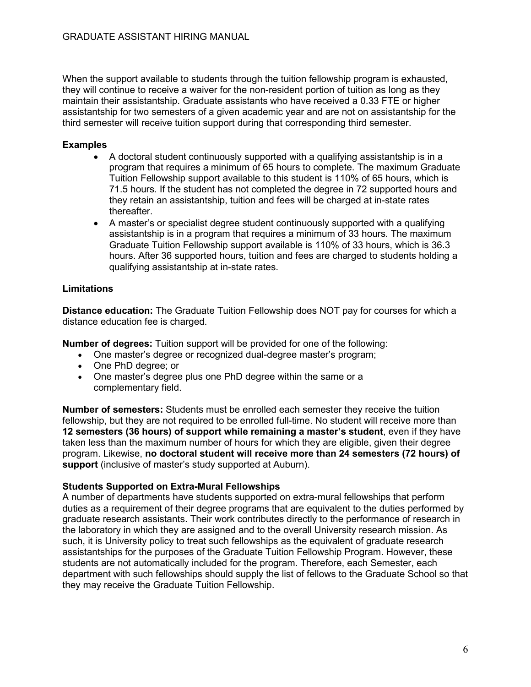When the support available to students through the tuition fellowship program is exhausted, they will continue to receive a waiver for the non-resident portion of tuition as long as they maintain their assistantship. Graduate assistants who have received a 0.33 FTE or higher assistantship for two semesters of a given academic year and are not on assistantship for the third semester will receive tuition support during that corresponding third semester.

#### **Examples**

- A doctoral student continuously supported with a qualifying assistantship is in a program that requires a minimum of 65 hours to complete. The maximum Graduate Tuition Fellowship support available to this student is 110% of 65 hours, which is 71.5 hours. If the student has not completed the degree in 72 supported hours and they retain an assistantship, tuition and fees will be charged at in-state rates thereafter.
- A master's or specialist degree student continuously supported with a qualifying assistantship is in a program that requires a minimum of 33 hours. The maximum Graduate Tuition Fellowship support available is 110% of 33 hours, which is 36.3 hours. After 36 supported hours, tuition and fees are charged to students holding a qualifying assistantship at in-state rates.

#### **Limitations**

**Distance education:** The Graduate Tuition Fellowship does NOT pay for courses for which a distance education fee is charged.

**Number of degrees:** Tuition support will be provided for one of the following:

- One master's degree or recognized dual-degree master's program;
- One PhD degree; or
- One master's degree plus one PhD degree within the same or a complementary field.

**Number of semesters:** Students must be enrolled each semester they receive the tuition fellowship, but they are not required to be enrolled full-time. No student will receive more than **12 semesters (36 hours) of support while remaining a master's student**, even if they have taken less than the maximum number of hours for which they are eligible, given their degree program. Likewise, **no doctoral student will receive more than 24 semesters (72 hours) of support** (inclusive of master's study supported at Auburn).

#### **Students Supported on Extra-Mural Fellowships**

A number of departments have students supported on extra-mural fellowships that perform duties as a requirement of their degree programs that are equivalent to the duties performed by graduate research assistants. Their work contributes directly to the performance of research in the laboratory in which they are assigned and to the overall University research mission. As such, it is University policy to treat such fellowships as the equivalent of graduate research assistantships for the purposes of the Graduate Tuition Fellowship Program. However, these students are not automatically included for the program. Therefore, each Semester, each department with such fellowships should supply the list of fellows to the Graduate School so that they may receive the Graduate Tuition Fellowship.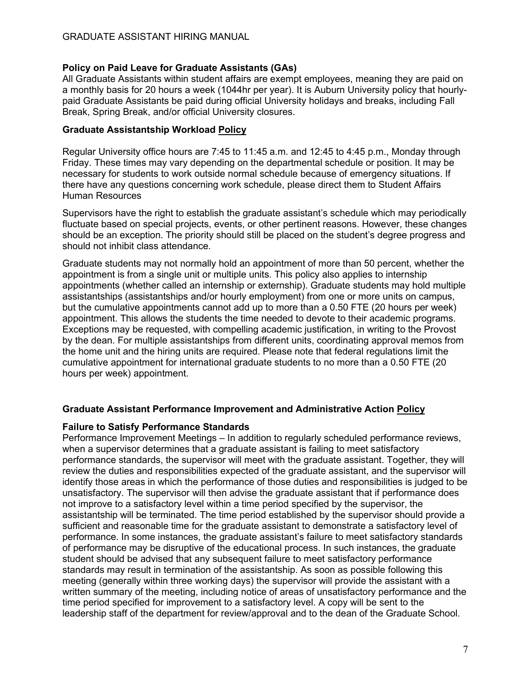#### **Policy on Paid Leave for Graduate Assistants (GAs)**

All Graduate Assistants within student affairs are exempt employees, meaning they are paid on a monthly basis for 20 hours a week (1044hr per year). It is Auburn University policy that hourlypaid Graduate Assistants be paid during official University holidays and breaks, including Fall Break, Spring Break, and/or official University closures.

#### **Graduate Assistantship Workload [Policy](http://bulletin.auburn.edu/thegraduateschool/graduateassistantshipsandfellowships/#gradassworkload)**

Regular University office hours are 7:45 to 11:45 a.m. and 12:45 to 4:45 p.m., Monday through Friday. These times may vary depending on the departmental schedule or position. It may be necessary for students to work outside normal schedule because of emergency situations. If there have any questions concerning work schedule, please direct them to Student Affairs Human Resources

Supervisors have the right to establish the graduate assistant's schedule which may periodically fluctuate based on special projects, events, or other pertinent reasons. However, these changes should be an exception. The priority should still be placed on the student's degree progress and should not inhibit class attendance.

Graduate students may not normally hold an appointment of more than 50 percent, whether the appointment is from a single unit or multiple units. This policy also applies to internship appointments (whether called an internship or externship). Graduate students may hold multiple assistantships (assistantships and/or hourly employment) from one or more units on campus, but the cumulative appointments cannot add up to more than a 0.50 FTE (20 hours per week) appointment. This allows the students the time needed to devote to their academic programs. Exceptions may be requested, with compelling academic justification, in writing to the Provost by the dean. For multiple assistantships from different units, coordinating approval memos from the home unit and the hiring units are required. Please note that federal regulations limit the cumulative appointment for international graduate students to no more than a 0.50 FTE (20 hours per week) appointment.

#### **Graduate Assistant Performance Improvement and Administrative Action [Policy](http://bulletin.auburn.edu/thegraduateschool/graduateassistantshipsandfellowships/#gradassworkload)**

#### **Failure to Satisfy Performance Standards**

Performance Improvement Meetings – In addition to regularly scheduled performance reviews, when a supervisor determines that a graduate assistant is failing to meet satisfactory performance standards, the supervisor will meet with the graduate assistant. Together, they will review the duties and responsibilities expected of the graduate assistant, and the supervisor will identify those areas in which the performance of those duties and responsibilities is judged to be unsatisfactory. The supervisor will then advise the graduate assistant that if performance does not improve to a satisfactory level within a time period specified by the supervisor, the assistantship will be terminated. The time period established by the supervisor should provide a sufficient and reasonable time for the graduate assistant to demonstrate a satisfactory level of performance. In some instances, the graduate assistant's failure to meet satisfactory standards of performance may be disruptive of the educational process. In such instances, the graduate student should be advised that any subsequent failure to meet satisfactory performance standards may result in termination of the assistantship. As soon as possible following this meeting (generally within three working days) the supervisor will provide the assistant with a written summary of the meeting, including notice of areas of unsatisfactory performance and the time period specified for improvement to a satisfactory level. A copy will be sent to the leadership staff of the department for review/approval and to the dean of the Graduate School.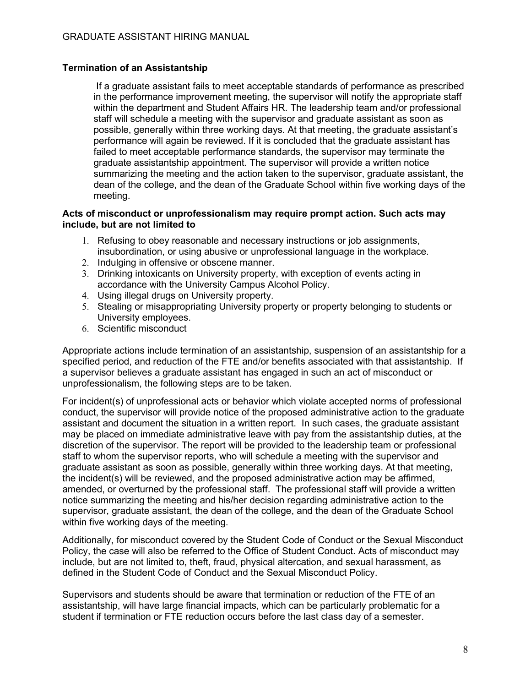#### **Termination of an Assistantship**

If a graduate assistant fails to meet acceptable standards of performance as prescribed in the performance improvement meeting, the supervisor will notify the appropriate staff within the department and Student Affairs HR. The leadership team and/or professional staff will schedule a meeting with the supervisor and graduate assistant as soon as possible, generally within three working days. At that meeting, the graduate assistant's performance will again be reviewed. If it is concluded that the graduate assistant has failed to meet acceptable performance standards, the supervisor may terminate the graduate assistantship appointment. The supervisor will provide a written notice summarizing the meeting and the action taken to the supervisor, graduate assistant, the dean of the college, and the dean of the Graduate School within five working days of the meeting.

#### **Acts of misconduct or unprofessionalism may require prompt action. Such acts may include, but are not limited to**

- 1. Refusing to obey reasonable and necessary instructions or job assignments, insubordination, or using abusive or unprofessional language in the workplace.
- 2. Indulging in offensive or obscene manner.
- 3. Drinking intoxicants on University property, with exception of events acting in accordance with the University Campus Alcohol Policy.
- 4. Using illegal drugs on University property.
- 5. Stealing or misappropriating University property or property belonging to students or University employees.
- 6. Scientific misconduct

Appropriate actions include termination of an assistantship, suspension of an assistantship for a specified period, and reduction of the FTE and/or benefits associated with that assistantship. If a supervisor believes a graduate assistant has engaged in such an act of misconduct or unprofessionalism, the following steps are to be taken.

For incident(s) of unprofessional acts or behavior which violate accepted norms of professional conduct, the supervisor will provide notice of the proposed administrative action to the graduate assistant and document the situation in a written report. In such cases, the graduate assistant may be placed on immediate administrative leave with pay from the assistantship duties, at the discretion of the supervisor. The report will be provided to the leadership team or professional staff to whom the supervisor reports, who will schedule a meeting with the supervisor and graduate assistant as soon as possible, generally within three working days. At that meeting, the incident(s) will be reviewed, and the proposed administrative action may be affirmed, amended, or overturned by the professional staff. The professional staff will provide a written notice summarizing the meeting and his/her decision regarding administrative action to the supervisor, graduate assistant, the dean of the college, and the dean of the Graduate School within five working days of the meeting.

Additionally, for misconduct covered by the Student Code of Conduct or the Sexual Misconduct Policy, the case will also be referred to the Office of Student Conduct. Acts of misconduct may include, but are not limited to, theft, fraud, physical altercation, and sexual harassment, as defined in the Student Code of Conduct and the Sexual Misconduct Policy.

Supervisors and students should be aware that termination or reduction of the FTE of an assistantship, will have large financial impacts, which can be particularly problematic for a student if termination or FTE reduction occurs before the last class day of a semester.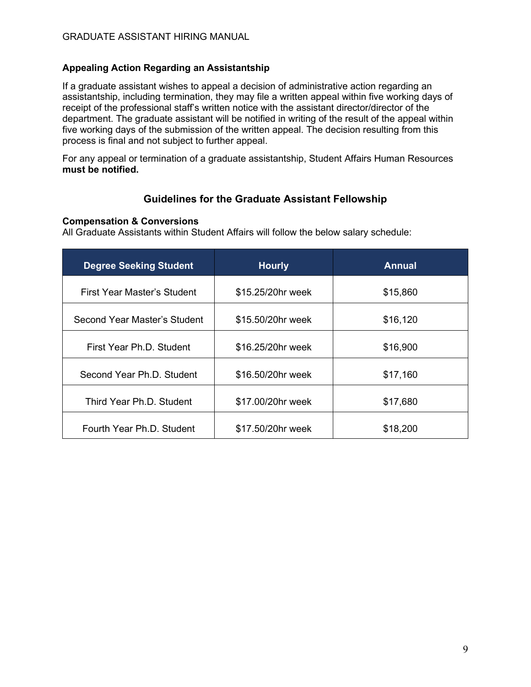#### **Appealing Action Regarding an Assistantship**

If a graduate assistant wishes to appeal a decision of administrative action regarding an assistantship, including termination, they may file a written appeal within five working days of receipt of the professional staff's written notice with the assistant director/director of the department. The graduate assistant will be notified in writing of the result of the appeal within five working days of the submission of the written appeal. The decision resulting from this process is final and not subject to further appeal.

For any appeal or termination of a graduate assistantship, Student Affairs Human Resources **must be notified.** 

#### **Guidelines for the Graduate Assistant Fellowship**

#### **Compensation & Conversions**

All Graduate Assistants within Student Affairs will follow the below salary schedule:

| <b>Degree Seeking Student</b> | <b>Hourly</b>     | <b>Annual</b> |  |
|-------------------------------|-------------------|---------------|--|
| First Year Master's Student   | \$15.25/20hr week | \$15,860      |  |
| Second Year Master's Student  | \$15.50/20hr week | \$16,120      |  |
| First Year Ph.D. Student      | \$16.25/20hr week | \$16,900      |  |
| Second Year Ph.D. Student     | \$16.50/20hr week | \$17,160      |  |
| Third Year Ph.D. Student      | \$17.00/20hr week | \$17,680      |  |
| Fourth Year Ph.D. Student     | \$17.50/20hr week | \$18,200      |  |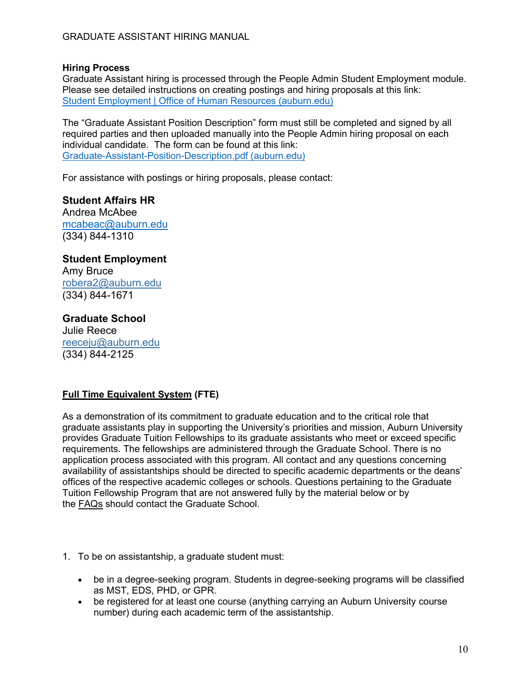GRADUATE ASSISTANT HIRING MANUAL

#### **Hiring Process**

Graduate Assistant hiring is processed through the People Admin Student Employment module. Please see detailed instructions on creating postings and hiring proposals at this link: [Student Employment | Office of Human Resources \(auburn.edu\)](http://www.auburn.edu/administration/human_resources/pa-7/ats-student.html)

The "Graduate Assistant Position Description" form must still be completed and signed by all required parties and then uploaded manually into the People Admin hiring proposal on each individual candidate. The form can be found at this link: [Graduate-Assistant-Position-Description.pdf \(auburn.edu\)](http://graduate.auburn.edu/wp-content/uploads/2018/12/Graduate-Assistant-Position-Description.pdf)

For assistance with postings or hiring proposals, please contact:

## **Student Affairs HR**

Andrea McAbee [mcabeac@auburn.edu](mailto:mcabeac@auburn.edu) (334) 844-1310

#### **Student Employment**

Amy Bruce [robera2@auburn.edu](mailto:robera2@auburn.edu) (334) 844-1671

#### **Graduate School**

Julie Reece [reeceju@auburn.edu](mailto:reeceju@auburn.edu) (334) 844-2125

#### **[Full Time Equivalent System](http://graduate.auburn.edu/current-students/guidelines-for-graduate-tuition-fellowships/) (FTE)**

As a demonstration of its commitment to graduate education and to the critical role that graduate assistants play in supporting the University's priorities and mission, Auburn University provides Graduate Tuition Fellowships to its graduate assistants who meet or exceed specific requirements. The fellowships are administered through the Graduate School. There is no application process associated with this program. All contact and any questions concerning availability of assistantships should be directed to specific academic departments or the deans' offices of the respective academic colleges or schools. Questions pertaining to the Graduate Tuition Fellowship Program that are not answered fully by the material below or by the [FAQs](http://graduate.auburn.edu/graduate_school/current-students/graduate-tuition-fellowship-faq/) should contact the Graduate School.

- 1. To be on assistantship, a graduate student must:
	- be in a degree-seeking program. Students in degree-seeking programs will be classified as MST, EDS, PHD, or GPR.
	- be registered for at least one course (anything carrying an Auburn University course number) during each academic term of the assistantship.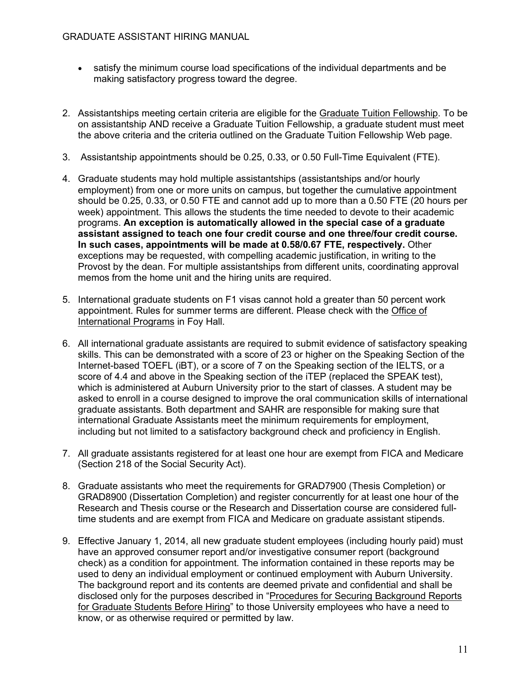- satisfy the minimum course load specifications of the individual departments and be making satisfactory progress toward the degree.
- 2. Assistantships meeting certain criteria are eligible for the [Graduate Tuition Fellowship.](http://graduate.auburn.edu/current-students/guidelines-for-graduate-tuition-fellowships/) To be on assistantship AND receive a Graduate Tuition Fellowship, a graduate student must meet the above criteria and the criteria outlined on the Graduate Tuition Fellowship Web page.
- 3. Assistantship appointments should be 0.25, 0.33, or 0.50 Full-Time Equivalent (FTE).
- 4. Graduate students may hold multiple assistantships (assistantships and/or hourly employment) from one or more units on campus, but together the cumulative appointment should be 0.25, 0.33, or 0.50 FTE and cannot add up to more than a 0.50 FTE (20 hours per week) appointment. This allows the students the time needed to devote to their academic programs. **An exception is automatically allowed in the special case of a graduate assistant assigned to teach one four credit course and one three/four credit course. In such cases, appointments will be made at 0.58/0.67 FTE, respectively.** Other exceptions may be requested, with compelling academic justification, in writing to the Provost by the dean. For multiple assistantships from different units, coordinating approval memos from the home unit and the hiring units are required.
- 5. International graduate students on F1 visas cannot hold a greater than 50 percent work appointment. Rules for summer terms are different. Please check with the [Office of](http://www.auburn.edu/academic/international/index.php)  [International Programs](http://www.auburn.edu/academic/international/index.php) in Foy Hall.
- 6. All international graduate assistants are required to submit evidence of satisfactory speaking skills. This can be demonstrated with a score of 23 or higher on the Speaking Section of the Internet-based TOEFL (iBT), or a score of 7 on the Speaking section of the IELTS, or a score of 4.4 and above in the Speaking section of the iTEP (replaced the SPEAK test), which is administered at Auburn University prior to the start of classes. A student may be asked to enroll in a course designed to improve the oral communication skills of international graduate assistants. Both department and SAHR are responsible for making sure that international Graduate Assistants meet the minimum requirements for employment, including but not limited to a satisfactory background check and proficiency in English.
- 7. All graduate assistants registered for at least one hour are exempt from FICA and Medicare (Section 218 of the Social Security Act).
- 8. Graduate assistants who meet the requirements for GRAD7900 (Thesis Completion) or GRAD8900 (Dissertation Completion) and register concurrently for at least one hour of the Research and Thesis course or the Research and Dissertation course are considered fulltime students and are exempt from FICA and Medicare on graduate assistant stipends.
- 9. Effective January 1, 2014, all new graduate student employees (including hourly paid) must have an approved consumer report and/or investigative consumer report (background check) as a condition for appointment. The information contained in these reports may be used to deny an individual employment or continued employment with Auburn University. The background report and its contents are deemed private and confidential and shall be disclosed only for the purposes described in "Procedures for Securing Background Reports [for Graduate Students Before Hiring"](http://graduate.auburn.edu/wp-content/uploads/files/cs/background_procedure.pdf) to those University employees who have a need to know, or as otherwise required or permitted by law.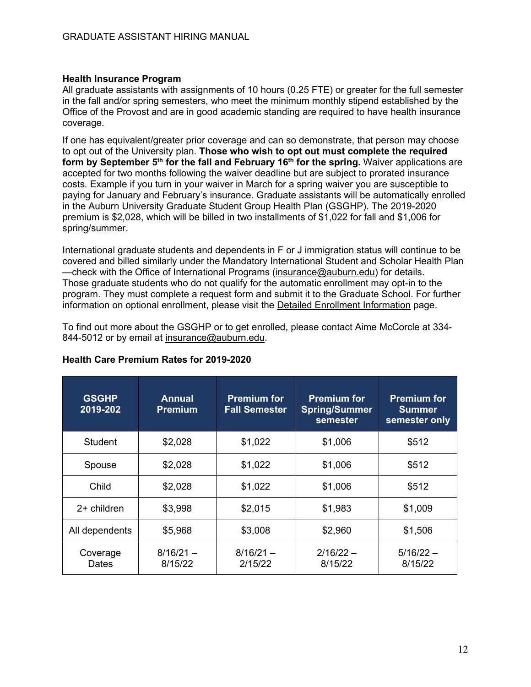#### **Health Insurance Program**

All graduate assistants with assignments of 10 hours (0.25 FTE) or greater for the full semester in the fall and/or spring semesters, who meet the minimum monthly stipend established by the Office of the Provost and are in good academic standing are required to have health insurance coverage.

If one has equivalent/greater prior coverage and can so demonstrate, that person may choose to opt out of the University plan. **Those who wish to opt out must complete the [required](http://graduate.auburn.edu/graduate-student-health-insurance-program/graduate-student-health-insurance-program-waiver/)  [form](http://graduate.auburn.edu/graduate-student-health-insurance-program/graduate-student-health-insurance-program-waiver/) by September 5<sup>th</sup> for the fall and February 16<sup>th</sup> for the spring. Waiver applications are** accepted for two months following the waiver deadline but are subject to prorated insurance costs. Example if you turn in your waiver in March for a spring waiver you are susceptible to paying for January and February's insurance. Graduate assistants will be automatically enrolled in the Auburn University Graduate Student Group Health Plan (GSGHP). The 2019-2020 premium is \$2,028, which will be billed in two installments of \$1,022 for fall and \$1,006 for spring/summer.

International graduate students and dependents in F or J immigration status will continue to be covered and billed similarly under the Mandatory International Student and Scholar Health Plan —check with the Office of International Programs [\(insurance@auburn.edu\)](mailto:insurance@auburn.edu) for details. Those graduate students who do not qualify for the automatic enrollment may opt-in to the program. They must complete a request form and submit it to the Graduate School. For further information on optional enrollment, please visit the [Detailed Enrollment Information](http://graduate.auburn.edu/graduate-student-health-insurance-program/graduate-student-health-insurance-program-details/) page.

To find out more about the GSGHP or to get enrolled, please contact Aime McCorcle at 334- 844-5012 or by email at [insurance@auburn.edu.](mailto:insurance@auburn.edu)

| <b>GSGHP</b><br>2019-202 | <b>Annual</b><br><b>Premium</b> | <b>Premium for</b><br><b>Fall Semester</b> | <b>Premium for</b><br><b>Spring/Summer</b><br>semester | <b>Premium for</b><br><b>Summer</b><br>semester only |
|--------------------------|---------------------------------|--------------------------------------------|--------------------------------------------------------|------------------------------------------------------|
| Student                  | \$2,028                         | \$1,022                                    | \$1,006                                                | \$512                                                |
| Spouse                   | \$2,028                         | \$1,022                                    | \$1,006                                                | \$512                                                |
| Child                    | \$2,028                         | \$1,022                                    | \$1,006                                                | \$512                                                |
| $2+$ children            | \$3,998                         | \$2,015                                    | \$1,983                                                | \$1,009                                              |
| All dependents           | \$5,968                         | \$3,008                                    | \$2,960                                                | \$1,506                                              |
| Coverage<br>Dates        | $8/16/21 -$<br>8/15/22          | $8/16/21 -$<br>2/15/22                     | $2/16/22 -$<br>8/15/22                                 | $5/16/22 -$<br>8/15/22                               |

#### **Health Care Premium Rates for 2019-2020**